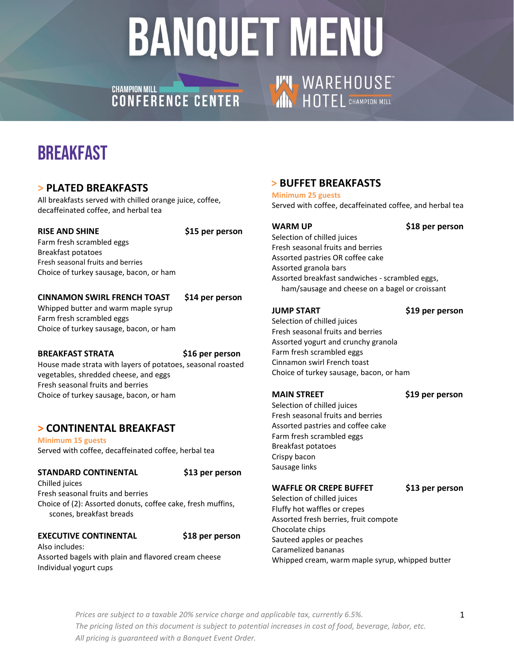## CHAMPION MILL **CHAMPION MILL**

## **THE WAREHOUSE**

## **BREAKFAST**

### **> PLATED BREAKFASTS**

All breakfasts served with chilled orange juice, coffee, decaffeinated coffee, and herbal tea

#### **RISE AND SHINE \$15 per person**

Farm fresh scrambled eggs Breakfast potatoes Fresh seasonal fruits and berries Choice of turkey sausage, bacon, or ham

#### **CINNAMON SWIRL FRENCH TOAST \$14 per person**

Whipped butter and warm maple syrup Farm fresh scrambled eggs Choice of turkey sausage, bacon, or ham

#### **BREAKFAST STRATA \$16 per person**

House made strata with layers of potatoes, seasonal roasted vegetables, shredded cheese, and eggs Fresh seasonal fruits and berries Choice of turkey sausage, bacon, or ham

### **> CONTINENTAL BREAKFAST**

**Minimum 15 guests** Served with coffee, decaffeinated coffee, herbal tea

#### **STANDARD CONTINENTAL \$13 per person**

Chilled juices Fresh seasonal fruits and berries Choice of (2): Assorted donuts, coffee cake, fresh muffins, scones, breakfast breads

#### **EXECUTIVE CONTINENTAL \$18 per person**

Also includes: Assorted bagels with plain and flavored cream cheese Individual yogurt cups

### **> BUFFET BREAKFASTS**

#### **Minimum 25 guests**

Served with coffee, decaffeinated coffee, and herbal tea

**WARM UP \$18 per person**

Selection of chilled juices Fresh seasonal fruits and berries Assorted pastries OR coffee cake Assorted granola bars Assorted breakfast sandwiches - scrambled eggs, ham/sausage and cheese on a bagel or croissant

**JUMP START \$19 per person**

Selection of chilled juices Fresh seasonal fruits and berries Assorted yogurt and crunchy granola Farm fresh scrambled eggs Cinnamon swirl French toast Choice of turkey sausage, bacon, or ham

#### **MAIN STREET \$19 per person**

Selection of chilled juices Fresh seasonal fruits and berries Assorted pastries and coffee cake Farm fresh scrambled eggs Breakfast potatoes Crispy bacon Sausage links

#### **WAFFLE OR CREPE BUFFET \$13 per person**

Selection of chilled juices Fluffy hot waffles or crepes Assorted fresh berries, fruit compote Chocolate chips Sauteed apples or peaches Caramelized bananas Whipped cream, warm maple syrup, whipped butter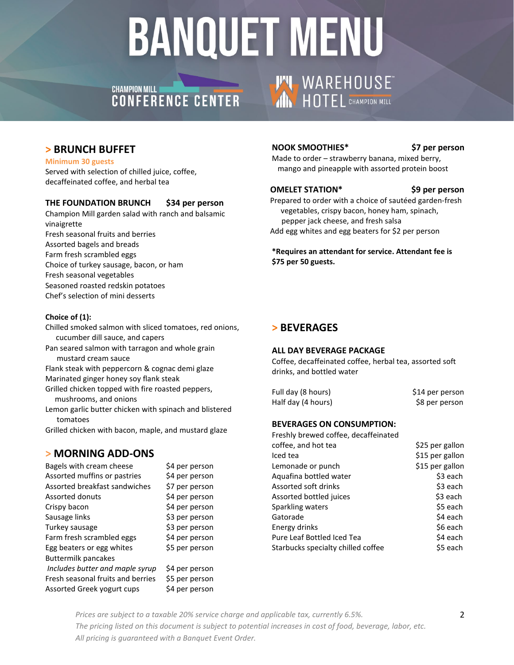## **CHAMPION MILL** CHAMPION MILL CONTER

# **THE WAREHOUSE**

### **> BRUNCH BUFFET**

#### **Minimum 30 guests**

Served with selection of chilled juice, coffee, decaffeinated coffee, and herbal tea

#### **THE FOUNDATION BRUNCH \$34 per person**

Champion Mill garden salad with ranch and balsamic vinaigrette Fresh seasonal fruits and berries Assorted bagels and breads Farm fresh scrambled eggs Choice of turkey sausage, bacon, or ham Fresh seasonal vegetables Seasoned roasted redskin potatoes Chef's selection of mini desserts

#### **Choice of (1):**

- Chilled smoked salmon with sliced tomatoes, red onions, cucumber dill sauce, and capers
- Pan seared salmon with tarragon and whole grain mustard cream sauce
- Flank steak with peppercorn & cognac demi glaze
- Marinated ginger honey soy flank steak
- Grilled chicken topped with fire roasted peppers, mushrooms, and onions
- Lemon garlic butter chicken with spinach and blistered tomatoes
- Grilled chicken with bacon, maple, and mustard glaze

### **> MORNING ADD-ONS**

| Bagels with cream cheese          | \$4 per person |
|-----------------------------------|----------------|
| Assorted muffins or pastries      | \$4 per person |
| Assorted breakfast sandwiches     | \$7 per person |
| <b>Assorted donuts</b>            | \$4 per person |
| Crispy bacon                      | \$4 per person |
| Sausage links                     | \$3 per person |
| Turkey sausage                    | \$3 per person |
| Farm fresh scrambled eggs         | \$4 per person |
| Egg beaters or egg whites         | \$5 per person |
| <b>Buttermilk pancakes</b>        |                |
| Includes butter and maple syrup   | \$4 per person |
| Fresh seasonal fruits and berries | \$5 per person |
| Assorted Greek yogurt cups        | \$4 per person |
|                                   |                |

#### **NOOK SMOOTHIES\* \$7 per person**

Made to order – strawberry banana, mixed berry, mango and pineapple with assorted protein boost

#### **OMELET STATION\* \$9 per person**

Prepared to order with a choice of sautéed garden-fresh vegetables, crispy bacon, honey ham, spinach, pepper jack cheese, and fresh salsa Add egg whites and egg beaters for \$2 per person

**\*Requires an attendant for service. Attendant fee is \$75 per 50 guests.** 

### **> BEVERAGES**

#### **ALL DAY BEVERAGE PACKAGE**

Coffee, decaffeinated coffee, herbal tea, assorted soft drinks, and bottled water

| Full day (8 hours) | \$14 per person |
|--------------------|-----------------|
| Half day (4 hours) | \$8 per person  |

#### **BEVERAGES ON CONSUMPTION:**

| Freshly brewed coffee, decaffeinated |                 |
|--------------------------------------|-----------------|
| coffee, and hot tea                  | \$25 per gallon |
| Iced tea                             | \$15 per gallon |
| Lemonade or punch                    | \$15 per gallon |
| Aquafina bottled water               | \$3 each        |
| Assorted soft drinks                 | \$3 each        |
| Assorted bottled juices              | \$3 each        |
| Sparkling waters                     | \$5 each        |
| Gatorade                             | \$4 each        |
| Energy drinks                        | \$6 each        |
| Pure Leaf Bottled Iced Tea           | \$4 each        |
| Starbucks specialty chilled coffee   | \$5 each        |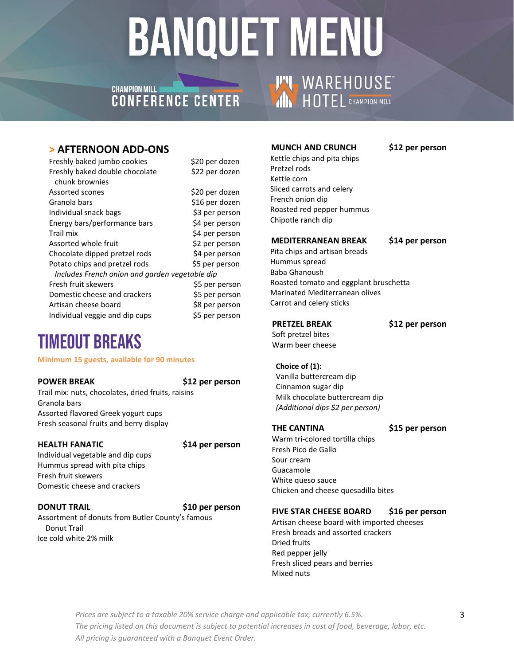## **CHAMPION MILL CHAMPIUN MILL<br>CONFERENCE CENTER**

#### **> AFTERNOON ADD-ONS**

| Freshly baked jumbo cookies                    | \$20 per dozen |
|------------------------------------------------|----------------|
| Freshly baked double chocolate                 | \$22 per dozen |
| chunk brownies                                 |                |
| Assorted scones                                | \$20 per dozen |
| Granola bars                                   | \$16 per dozen |
| Individual snack bags                          | \$3 per person |
| Energy bars/performance bars                   | \$4 per person |
| Trail mix                                      | \$4 per person |
| Assorted whole fruit                           | \$2 per person |
| Chocolate dipped pretzel rods                  | \$4 per person |
| Potato chips and pretzel rods                  | \$5 per person |
| Includes French onion and garden vegetable dip |                |
| Fresh fruit skewers                            | \$5 per person |
| Domestic cheese and crackers                   | \$5 per person |
| Artisan cheese board                           | \$8 per person |
| Individual veggie and dip cups                 | \$5 per person |

## Timeout Breaks

#### **Minimum 15 guests, available for 90 minutes**

**POWER BREAK \$12 per person** 

Trail mix: nuts, chocolates, dried fruits, raisins Granola bars Assorted flavored Greek yogurt cups Fresh seasonal fruits and berry display

#### **HEALTH FANATIC \$14 per person**

Individual vegetable and dip cups Hummus spread with pita chips Fresh fruit skewers Domestic cheese and crackers

#### **DONUT TRAIL \$10 per person**

Assortment of donuts from Butler County's famous Donut Trail Ice cold white 2% milk

#### **MUNCH AND CRUNCH \$12 per person**

**THE WAREHOUSE** 

 Kettle chips and pita chips Pretzel rods Kettle corn Sliced carrots and celery French onion dip Roasted red pepper hummus Chipotle ranch dip

#### **MEDITERRANEAN BREAK \$14 per person**

 Pita chips and artisan breads Hummus spread Baba Ghanoush Roasted tomato and eggplant bruschetta Marinated Mediterranean olives Carrot and celery sticks

**PRETZEL BREAK \$12 per person**

 Soft pretzel bites Warm beer cheese

 **Choice of (1):**

 Vanilla buttercream dip Cinnamon sugar dip Milk chocolate buttercream dip *(Additional dips \$2 per person)*

**THE CANTINA \$15 per person**

Warm tri-colored tortilla chips Fresh Pico de Gallo Sour cream Guacamole White queso sauce Chicken and cheese quesadilla bites

#### **FIVE STAR CHEESE BOARD \$16 per person**

Artisan cheese board with imported cheeses Fresh breads and assorted crackers Dried fruits Red pepper jelly Fresh sliced pears and berries Mixed nuts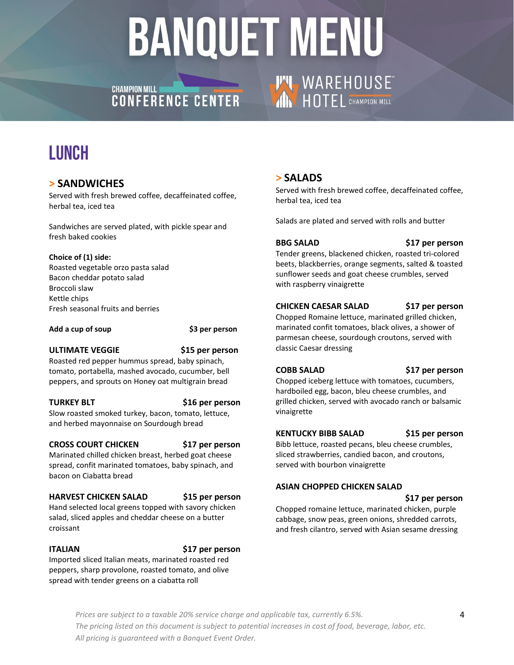## CHAMPION MILL **CHAMPION MILL**

## LUNCH

### **> SANDWICHES**

Served with fresh brewed coffee, decaffeinated coffee, herbal tea, iced tea

Sandwiches are served plated, with pickle spear and fresh baked cookies

#### **Choice of (1) side:**

Roasted vegetable orzo pasta salad Bacon cheddar potato salad Broccoli slaw Kettle chips Fresh seasonal fruits and berries

#### Add a cup of soup **\$3 per person**

#### **ULTIMATE VEGGIE \$15 per person**

Roasted red pepper hummus spread, baby spinach, tomato, portabella, mashed avocado, cucumber, bell peppers, and sprouts on Honey oat multigrain bread

**TURKEY BLT \$16 per person**

Slow roasted smoked turkey, bacon, tomato, lettuce, and herbed mayonnaise on Sourdough bread

#### **CROSS COURT CHICKEN \$17 per person**

Marinated chilled chicken breast, herbed goat cheese spread, confit marinated tomatoes, baby spinach, and bacon on Ciabatta bread

### **HARVEST CHICKEN SALAD \$15 per person**

Hand selected local greens topped with savory chicken salad, sliced apples and cheddar cheese on a butter croissant

**ITALIAN \$17 per person**

Imported sliced Italian meats, marinated roasted red peppers, sharp provolone, roasted tomato, and olive spread with tender greens on a ciabatta roll

### **> SALADS**

Served with fresh brewed coffee, decaffeinated coffee, herbal tea, iced tea

Salads are plated and served with rolls and butter

**BBG SALAD \$17 per person**

Tender greens, blackened chicken, roasted tri-colored beets, blackberries, orange segments, salted & toasted sunflower seeds and goat cheese crumbles, served with raspberry vinaigrette

#### **CHICKEN CAESAR SALAD \$17 per person**

**THE WAREHOUSE** 

Chopped Romaine lettuce, marinated grilled chicken, marinated confit tomatoes, black olives, a shower of parmesan cheese, sourdough croutons, served with classic Caesar dressing

**COBB SALAD \$17 per person**

Chopped iceberg lettuce with tomatoes, cucumbers, hardboiled egg, bacon, bleu cheese crumbles, and grilled chicken, served with avocado ranch or balsamic vinaigrette

#### **KENTUCKY BIBB SALAD \$15 per person**

Bibb lettuce, roasted pecans, bleu cheese crumbles, sliced strawberries, candied bacon, and croutons, served with bourbon vinaigrette

#### **ASIAN CHOPPED CHICKEN SALAD**

 **\$17 per person**

Chopped romaine lettuce, marinated chicken, purple cabbage, snow peas, green onions, shredded carrots, and fresh cilantro, served with Asian sesame dressing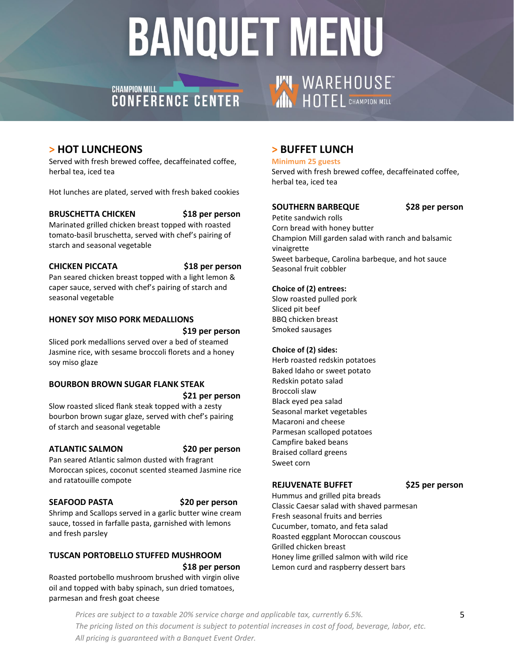## CHAMPION MILL **AND CHAMPION MILL**



### **> HOT LUNCHEONS**

Served with fresh brewed coffee, decaffeinated coffee, herbal tea, iced tea

Hot lunches are plated, served with fresh baked cookies

#### **BRUSCHETTA CHICKEN \$18 per person**

Marinated grilled chicken breast topped with roasted tomato-basil bruschetta, served with chef's pairing of starch and seasonal vegetable

#### **CHICKEN PICCATA \$18 per person**

Pan seared chicken breast topped with a light lemon & caper sauce, served with chef's pairing of starch and seasonal vegetable

#### **HONEY SOY MISO PORK MEDALLIONS**

#### **\$19 per person**

Sliced pork medallions served over a bed of steamed Jasmine rice, with sesame broccoli florets and a honey soy miso glaze

#### **BOURBON BROWN SUGAR FLANK STEAK \$21 per person**

Slow roasted sliced flank steak topped with a zesty bourbon brown sugar glaze, served with chef's pairing of starch and seasonal vegetable

#### **ATLANTIC SALMON \$20 per person**

Pan seared Atlantic salmon dusted with fragrant Moroccan spices, coconut scented steamed Jasmine rice and ratatouille compote

#### **SEAFOOD PASTA \$20 per person**

Shrimp and Scallops served in a garlic butter wine cream sauce, tossed in farfalle pasta, garnished with lemons and fresh parsley

#### **TUSCAN PORTOBELLO STUFFED MUSHROOM \$18 per person**

Roasted portobello mushroom brushed with virgin olive oil and topped with baby spinach, sun dried tomatoes, parmesan and fresh goat cheese

### **> BUFFET LUNCH**

#### **Minimum 25 guests**

Served with fresh brewed coffee, decaffeinated coffee, herbal tea, iced tea

#### **SOUTHERN BARBEQUE \$28 per person**

Petite sandwich rolls Corn bread with honey butter Champion Mill garden salad with ranch and balsamic vinaigrette Sweet barbeque, Carolina barbeque, and hot sauce Seasonal fruit cobbler

#### **Choice of (2) entrees:**

Slow roasted pulled pork Sliced pit beef BBQ chicken breast Smoked sausages

#### **Choice of (2) sides:**

Herb roasted redskin potatoes Baked Idaho or sweet potato Redskin potato salad Broccoli slaw Black eyed pea salad Seasonal market vegetables Macaroni and cheese Parmesan scalloped potatoes Campfire baked beans Braised collard greens Sweet corn

#### **REJUVENATE BUFFET \$25 per person**

Hummus and grilled pita breads Classic Caesar salad with shaved parmesan Fresh seasonal fruits and berries Cucumber, tomato, and feta salad Roasted eggplant Moroccan couscous Grilled chicken breast Honey lime grilled salmon with wild rice Lemon curd and raspberry dessert bars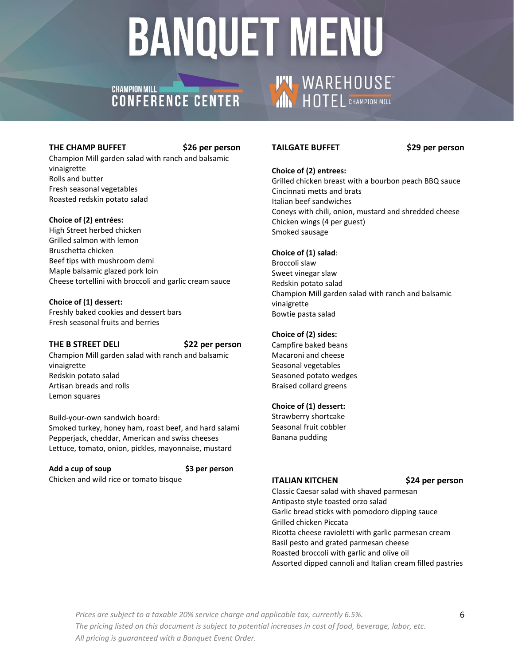## CHAMPION MILL **AND CHAMPION MILL**

#### **THE CHAMP BUFFET \$26 per person**

Champion Mill garden salad with ranch and balsamic vinaigrette Rolls and butter Fresh seasonal vegetables Roasted redskin potato salad

#### **Choice of (2) entrées:**

High Street herbed chicken Grilled salmon with lemon Bruschetta chicken Beef tips with mushroom demi Maple balsamic glazed pork loin Cheese tortellini with broccoli and garlic cream sauce

#### **Choice of (1) dessert:**

Freshly baked cookies and dessert bars Fresh seasonal fruits and berries

#### **THE B STREET DELI \$22 per person**

Champion Mill garden salad with ranch and balsamic vinaigrette Redskin potato salad Artisan breads and rolls Lemon squares

Build-your-own sandwich board: Smoked turkey, honey ham, roast beef, and hard salami Pepperjack, cheddar, American and swiss cheeses Lettuce, tomato, onion, pickles, mayonnaise, mustard

**Add a cup of soup \$3 per person** Chicken and wild rice or tomato bisque

#### **TAILGATE BUFFET \$29 per person**

**THE WAREHOUSE** 

#### **Choice of (2) entrees:**

Grilled chicken breast with a bourbon peach BBQ sauce Cincinnati metts and brats Italian beef sandwiches Coneys with chili, onion, mustard and shredded cheese Chicken wings (4 per guest) Smoked sausage

#### **Choice of (1) salad**:

Broccoli slaw Sweet vinegar slaw Redskin potato salad Champion Mill garden salad with ranch and balsamic vinaigrette Bowtie pasta salad

#### **Choice of (2) sides:**

Campfire baked beans Macaroni and cheese Seasonal vegetables Seasoned potato wedges Braised collard greens

#### **Choice of (1) dessert:**

Strawberry shortcake Seasonal fruit cobbler Banana pudding

#### **ITALIAN KITCHEN \$24 per person**

Classic Caesar salad with shaved parmesan Antipasto style toasted orzo salad Garlic bread sticks with pomodoro dipping sauce Grilled chicken Piccata Ricotta cheese ravioletti with garlic parmesan cream Basil pesto and grated parmesan cheese Roasted broccoli with garlic and olive oil Assorted dipped cannoli and Italian cream filled pastries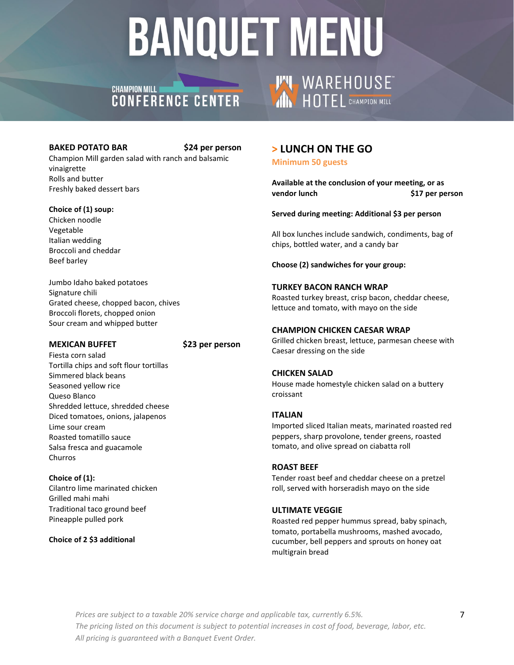## CHAMPION MILL **AND CHAMPION MILL**

#### **BAKED POTATO BAR \$24 per person**

Champion Mill garden salad with ranch and balsamic vinaigrette Rolls and butter Freshly baked dessert bars

#### **Choice of (1) soup:**

Chicken noodle Vegetable Italian wedding Broccoli and cheddar Beef barley

Jumbo Idaho baked potatoes Signature chili Grated cheese, chopped bacon, chives Broccoli florets, chopped onion Sour cream and whipped butter

#### **MEXICAN BUFFET \$23 per person**

Fiesta corn salad Tortilla chips and soft flour tortillas Simmered black beans Seasoned yellow rice Queso Blanco Shredded lettuce, shredded cheese Diced tomatoes, onions, jalapenos Lime sour cream Roasted tomatillo sauce Salsa fresca and guacamole Churros

**Choice of (1):** Cilantro lime marinated chicken Grilled mahi mahi Traditional taco ground beef Pineapple pulled pork

#### **Choice of 2 \$3 additional**

## **> LUNCH ON THE GO**

**THE WAREHOUSE** 

**Minimum 50 guests**

**Available at the conclusion of your meeting, or as vendor lunch \$17 per person**

#### **Served during meeting: Additional \$3 per person**

All box lunches include sandwich, condiments, bag of chips, bottled water, and a candy bar

**Choose (2) sandwiches for your group:**

#### **TURKEY BACON RANCH WRAP**

Roasted turkey breast, crisp bacon, cheddar cheese, lettuce and tomato, with mayo on the side

#### **CHAMPION CHICKEN CAESAR WRAP**

Grilled chicken breast, lettuce, parmesan cheese with Caesar dressing on the side

#### **CHICKEN SALAD**

House made homestyle chicken salad on a buttery croissant

#### **ITALIAN**

Imported sliced Italian meats, marinated roasted red peppers, sharp provolone, tender greens, roasted tomato, and olive spread on ciabatta roll

#### **ROAST BEEF**

Tender roast beef and cheddar cheese on a pretzel roll, served with horseradish mayo on the side

#### **ULTIMATE VEGGIE**

Roasted red pepper hummus spread, baby spinach, tomato, portabella mushrooms, mashed avocado, cucumber, bell peppers and sprouts on honey oat multigrain bread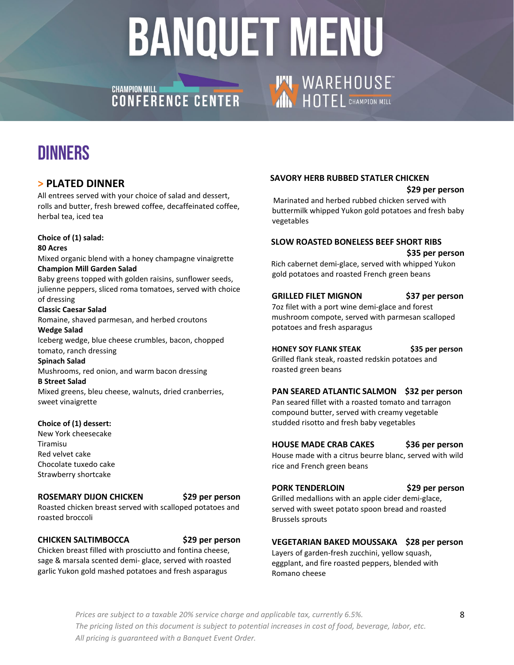## CHAMPION MILL **AND CHAMPION MILL**

## DINNERS

### **> PLATED DINNER**

All entrees served with your choice of salad and dessert, rolls and butter, fresh brewed coffee, decaffeinated coffee, herbal tea, iced tea

#### **Choice of (1) salad:**

#### **80 Acres**

Mixed organic blend with a honey champagne vinaigrette **Champion Mill Garden Salad**

Baby greens topped with golden raisins, sunflower seeds, julienne peppers, sliced roma tomatoes, served with choice of dressing

#### **Classic Caesar Salad**

Romaine, shaved parmesan, and herbed croutons

#### **Wedge Salad**

Iceberg wedge, blue cheese crumbles, bacon, chopped tomato, ranch dressing

#### **Spinach Salad**

Mushrooms, red onion, and warm bacon dressing

#### **B Street Salad**

Mixed greens, bleu cheese, walnuts, dried cranberries, sweet vinaigrette

#### **Choice of (1) dessert:**

New York cheesecake Tiramisu Red velvet cake Chocolate tuxedo cake Strawberry shortcake

#### **ROSEMARY DIJON CHICKEN \$29 per person**

Roasted chicken breast served with scalloped potatoes and roasted broccoli

#### **CHICKEN SALTIMBOCCA \$29 per person**

Chicken breast filled with prosciutto and fontina cheese, sage & marsala scented demi- glace, served with roasted garlic Yukon gold mashed potatoes and fresh asparagus

#### **SAVORY HERB RUBBED STATLER CHICKEN**

**THE WAREHOUSE** 

#### **\$29 per person**

Marinated and herbed rubbed chicken served with buttermilk whipped Yukon gold potatoes and fresh baby vegetables

#### **SLOW ROASTED BONELESS BEEF SHORT RIBS \$35 per person**

Rich cabernet demi-glace, served with whipped Yukon gold potatoes and roasted French green beans

#### **GRILLED FILET MIGNON \$37 per person**

7oz filet with a port wine demi-glace and forest mushroom compote, served with parmesan scalloped potatoes and fresh asparagus

**HONEY SOY FLANK STEAK \$35 per person**

Grilled flank steak, roasted redskin potatoes and roasted green beans

#### **PAN SEARED ATLANTIC SALMON \$32 per person**

Pan seared fillet with a roasted tomato and tarragon compound butter, served with creamy vegetable studded risotto and fresh baby vegetables

#### **HOUSE MADE CRAB CAKES** \$36 per person

House made with a citrus beurre blanc, served with wild rice and French green beans

#### **PORK TENDERLOIN \$29 per person**

Grilled medallions with an apple cider demi-glace, served with sweet potato spoon bread and roasted Brussels sprouts

#### **VEGETARIAN BAKED MOUSSAKA \$28 per person**

Layers of garden-fresh zucchini, yellow squash, eggplant, and fire roasted peppers, blended with Romano cheese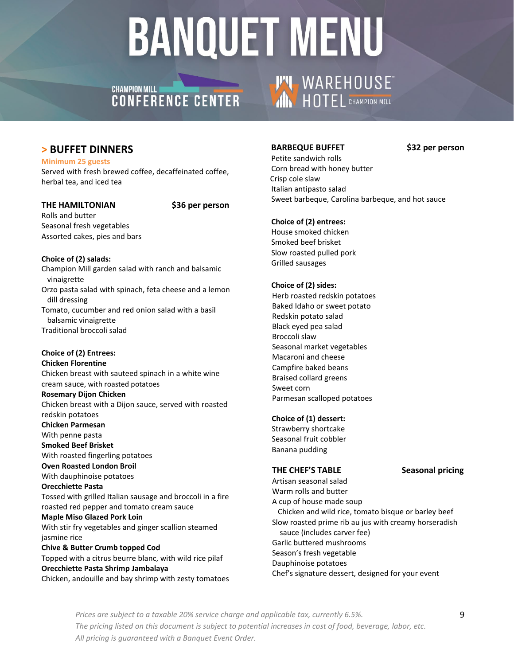## CHAMPION MILL **AND CHAMPION MILL**

#### **BARBEQUE BUFFET \$32 per person**

**THE WAREHOUSE** 

Petite sandwich rolls Corn bread with honey butter Crisp cole slaw Italian antipasto salad Sweet barbeque, Carolina barbeque, and hot sauce

#### **Choice of (2) entrees:**

House smoked chicken Smoked beef brisket Slow roasted pulled pork Grilled sausages

#### **Choice of (2) sides:**

Herb roasted redskin potatoes Baked Idaho or sweet potato Redskin potato salad Black eyed pea salad Broccoli slaw Seasonal market vegetables Macaroni and cheese Campfire baked beans Braised collard greens Sweet corn Parmesan scalloped potatoes

#### **Choice of (1) dessert:**

Strawberry shortcake Seasonal fruit cobbler Banana pudding

#### THE CHEF'S TABLE Seasonal pricing

Artisan seasonal salad Warm rolls and butter A cup of house made soup Chicken and wild rice, tomato bisque or barley beef Slow roasted prime rib au jus with creamy horseradish sauce (includes carver fee) Garlic buttered mushrooms Season's fresh vegetable Dauphinoise potatoes Chef's signature dessert, designed for your event

### **> BUFFET DINNERS**

**Minimum 25 guests** Served with fresh brewed coffee, decaffeinated coffee, herbal tea, and iced tea

#### **THE HAMILTONIAN \$36 per person**

Rolls and butter Seasonal fresh vegetables Assorted cakes, pies and bars

**Choice of (2) salads:** Champion Mill garden salad with ranch and balsamic vinaigrette Orzo pasta salad with spinach, feta cheese and a lemon dill dressing Tomato, cucumber and red onion salad with a basil balsamic vinaigrette Traditional broccoli salad

### **Choice of (2) Entrees:**

**Chicken Florentine** Chicken breast with sauteed spinach in a white wine cream sauce, with roasted potatoes **Rosemary Dijon Chicken** Chicken breast with a Dijon sauce, served with roasted redskin potatoes **Chicken Parmesan** With penne pasta **Smoked Beef Brisket** With roasted fingerling potatoes **Oven Roasted London Broil** With dauphinoise potatoes **Orecchiette Pasta**  Tossed with grilled Italian sausage and broccoli in a fire roasted red pepper and tomato cream sauce **Maple Miso Glazed Pork Loin**  With stir fry vegetables and ginger scallion steamed jasmine rice **Chive & Butter Crumb topped Cod** Topped with a citrus beurre blanc, with wild rice pilaf **Orecchiette Pasta Shrimp Jambalaya**

Chicken, andouille and bay shrimp with zesty tomatoes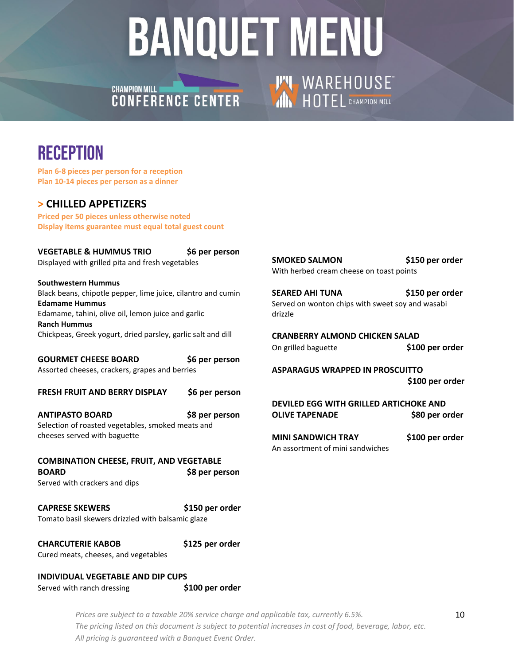**CHAMPION MILL CHAMPION MILL**<br>**CONFERENCE CENTER** 

# **THE WAREHOUSE**

## **RECEPTION**

**Plan 6-8 pieces per person for a reception Plan 10-14 pieces per person as a dinner**

### **> CHILLED APPETIZERS**

**Priced per 50 pieces unless otherwise noted Display items guarantee must equal total guest count**

| <b>VEGETABLE &amp; HUMMUS TRIO</b><br>Displayed with grilled pita and fresh vegetables | \$6 per person  | <b>SMOKED SALMON</b><br>With herbed cream cheese on toast points           | \$150 per or |
|----------------------------------------------------------------------------------------|-----------------|----------------------------------------------------------------------------|--------------|
| <b>Southwestern Hummus</b>                                                             |                 |                                                                            |              |
| Black beans, chipotle pepper, lime juice, cilantro and cumin<br><b>Edamame Hummus</b>  |                 | <b>SEARED AHI TUNA</b><br>Served on wonton chips with sweet soy and wasabi | \$150 per or |
| Edamame, tahini, olive oil, lemon juice and garlic<br><b>Ranch Hummus</b>              |                 | drizzle                                                                    |              |
| Chickpeas, Greek yogurt, dried parsley, garlic salt and dill                           |                 | <b>CRANBERRY ALMOND CHICKEN SALAD</b>                                      |              |
|                                                                                        |                 | On grilled baguette                                                        | \$100 per o  |
| <b>GOURMET CHEESE BOARD</b>                                                            | \$6 per person  |                                                                            |              |
| Assorted cheeses, crackers, grapes and berries                                         |                 | <b>ASPARAGUS WRAPPED IN PROSCUITTO</b>                                     |              |
|                                                                                        |                 |                                                                            | \$100 per o  |
| <b>FRESH FRUIT AND BERRY DISPLAY</b>                                                   | \$6 per person  |                                                                            |              |
|                                                                                        |                 | DEVILED EGG WITH GRILLED ARTICHOKE AND                                     |              |
| <b>ANTIPASTO BOARD</b>                                                                 | \$8 per person  | <b>OLIVE TAPENADE</b>                                                      | \$80 per o   |
| Selection of roasted vegetables, smoked meats and                                      |                 |                                                                            |              |
| cheeses served with baguette                                                           |                 |                                                                            |              |
|                                                                                        |                 | <b>MINI SANDWICH TRAY</b>                                                  | \$100 per o  |
|                                                                                        |                 | An assortment of mini sandwiches                                           |              |
| <b>COMBINATION CHEESE, FRUIT, AND VEGETABLE</b>                                        |                 |                                                                            |              |
| <b>BOARD</b>                                                                           | \$8 per person  |                                                                            |              |
| Served with crackers and dips                                                          |                 |                                                                            |              |
| <b>CAPRESE SKEWERS</b>                                                                 | \$150 per order |                                                                            |              |
| Tomato basil skewers drizzled with balsamic glaze                                      |                 |                                                                            |              |
| <b>CHARCUTERIE KABOB</b>                                                               | \$125 per order |                                                                            |              |
| Cured meats, cheeses, and vegetables                                                   |                 |                                                                            |              |
| INDIVIDUAL VEGETABLE AND DIP CUPS                                                      |                 |                                                                            |              |

Served with ranch dressing **\$100 per order** 

*Prices are subject to a taxable 20% service charge and applicable tax, currently 6.5%. The pricing listed on this document is subject to potential increases in cost of food, beverage, labor, etc. All pricing is guaranteed with a Banquet Event Order.* 

\$150 per order

\$150 per order

\$100 per order

 **\$100 per order**

\$80 per order

\$100 per order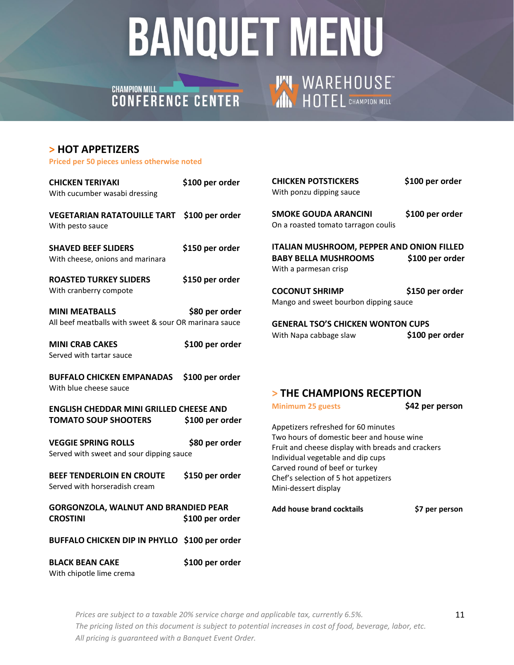## CHAMPION MILL **CHAMPION MILL**

# **THE WAREHOUSE**

#### **> HOT APPETIZERS**

**Priced per 50 pieces unless otherwise noted**

| <b>CHICKEN TERIYAKI</b><br>With cucumber wasabi dressing                        | \$100 per order | <b>CHICKEN POTSTICKERS</b><br>With ponzu dipping sauce                                                                              | \$100 per order |
|---------------------------------------------------------------------------------|-----------------|-------------------------------------------------------------------------------------------------------------------------------------|-----------------|
| <b>VEGETARIAN RATATOUILLE TART</b><br>With pesto sauce                          | \$100 per order | <b>SMOKE GOUDA ARANCINI</b><br>On a roasted tomato tarragon coulis                                                                  | \$100 per order |
| <b>SHAVED BEEF SLIDERS</b><br>With cheese, onions and marinara                  | \$150 per order | <b>ITALIAN MUSHROOM, PEPPER AND ONION FILLED</b><br><b>BABY BELLA MUSHROOMS</b><br>With a parmesan crisp                            | \$100 per order |
| <b>ROASTED TURKEY SLIDERS</b><br>With cranberry compote                         | \$150 per order | <b>COCONUT SHRIMP</b><br>Mango and sweet bourbon dipping sauce                                                                      | \$150 per order |
| <b>MINI MEATBALLS</b><br>All beef meatballs with sweet & sour OR marinara sauce | \$80 per order  | <b>GENERAL TSO'S CHICKEN WONTON CUPS</b>                                                                                            |                 |
| <b>MINI CRAB CAKES</b><br>Served with tartar sauce                              | \$100 per order | With Napa cabbage slaw                                                                                                              | \$100 per order |
| <b>BUFFALO CHICKEN EMPANADAS</b><br>With blue cheese sauce                      | \$100 per order | > THE CHAMPIONS RECEPTION                                                                                                           |                 |
| <b>ENGLISH CHEDDAR MINI GRILLED CHEESE AND</b>                                  |                 | <b>Minimum 25 guests</b>                                                                                                            | \$42 per person |
| <b>TOMATO SOUP SHOOTERS</b>                                                     | \$100 per order | Appetizers refreshed for 60 minutes                                                                                                 |                 |
| <b>VEGGIE SPRING ROLLS</b><br>Served with sweet and sour dipping sauce          | \$80 per order  | Two hours of domestic beer and house wine<br>Fruit and cheese display with breads and crackers<br>Individual vegetable and dip cups |                 |
| <b>BEEF TENDERLOIN EN CROUTE</b><br>Served with horseradish cream               | \$150 per order | Carved round of beef or turkey<br>Chef's selection of 5 hot appetizers<br>Mini-dessert display                                      |                 |
| <b>GORGONZOLA, WALNUT AND BRANDIED PEAR</b><br><b>CROSTINI</b>                  | \$100 per order | Add house brand cocktails                                                                                                           | \$7 per person  |
| BUFFALO CHICKEN DIP IN PHYLLO \$100 per order                                   |                 |                                                                                                                                     |                 |
| <b>BLACK BEAN CAKE</b><br>With chipotle lime crema                              | \$100 per order |                                                                                                                                     |                 |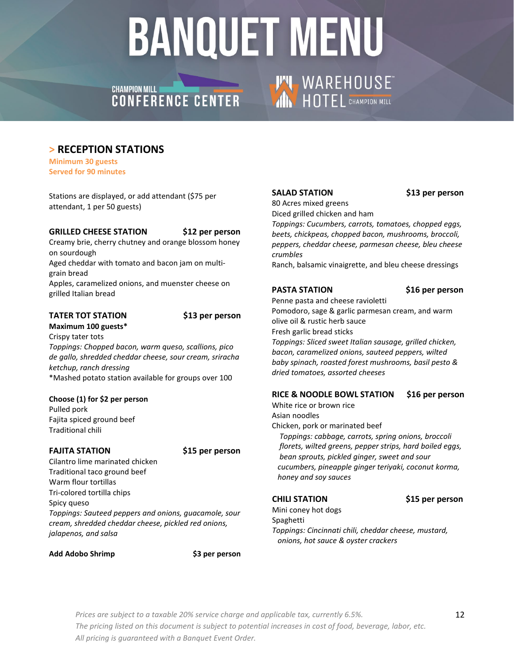## CHAMPION MILL **AND CHAMPION MILL**

### **> RECEPTION STATIONS**

**Minimum 30 guests Served for 90 minutes**

Stations are displayed, or add attendant (\$75 per attendant, 1 per 50 guests)

#### **GRILLED CHEESE STATION \$12 per person**

Creamy brie, cherry chutney and orange blossom honey on sourdough

Aged cheddar with tomato and bacon jam on multigrain bread

Apples, caramelized onions, and muenster cheese on grilled Italian bread

#### **TATER TOT STATION \$13 per person**

**Maximum 100 guests\***  Crispy tater tots *Toppings: Chopped bacon, warm queso, scallions, pico de gallo, shredded cheddar cheese, sour cream, sriracha ketchup, ranch dressing* \*Mashed potato station available for groups over 100

#### **Choose (1) for \$2 per person**

Pulled pork Fajita spiced ground beef Traditional chili

#### **FAJITA STATION \$15 per person**

Cilantro lime marinated chicken Traditional taco ground beef Warm flour tortillas Tri-colored tortilla chips Spicy queso *Toppings: Sauteed peppers and onions, guacamole, sour cream, shredded cheddar cheese, pickled red onions, jalapenos, and salsa*

#### **Add Adobo Shrimp \$3 per person**

#### **SALAD STATION \$13 per person**

80 Acres mixed greens Diced grilled chicken and ham

**THE WAREHOUSE** 

*Toppings: Cucumbers, carrots, tomatoes, chopped eggs, beets, chickpeas, chopped bacon, mushrooms, broccoli, peppers, cheddar cheese, parmesan cheese, bleu cheese crumbles*

Ranch, balsamic vinaigrette, and bleu cheese dressings

#### **PASTA STATION \$16 per person**

Penne pasta and cheese ravioletti Pomodoro, sage & garlic parmesan cream, and warm olive oil & rustic herb sauce Fresh garlic bread sticks *Toppings: Sliced sweet Italian sausage, grilled chicken, bacon, caramelized onions, sauteed peppers, wilted baby spinach, roasted forest mushrooms, basil pesto & dried tomatoes, assorted cheeses*

#### **RICE & NOODLE BOWL STATION \$16 per person**

White rice or brown rice Asian noodles Chicken, pork or marinated beef  *Toppings: cabbage, carrots, spring onions, broccoli florets, wilted greens, pepper strips, hard boiled eggs, bean sprouts, pickled ginger, sweet and sour cucumbers, pineapple ginger teriyaki, coconut korma, honey and soy sauces*

**CHILI STATION \$15 per person** 

Mini coney hot dogs Spaghetti *Toppings: Cincinnati chili, cheddar cheese, mustard, onions, hot sauce & oyster crackers*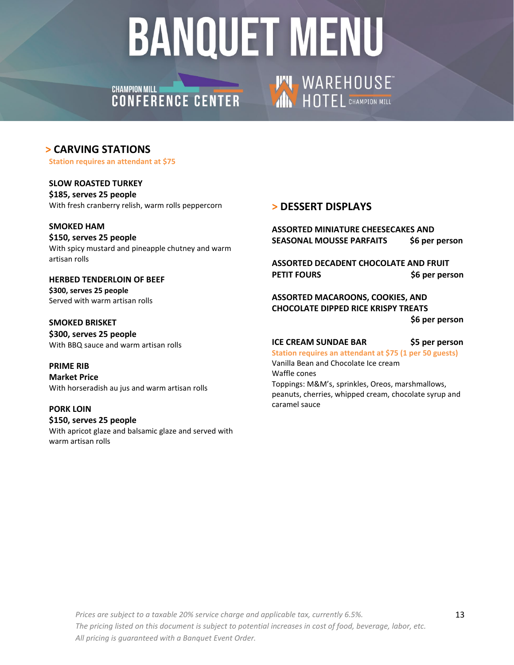### **CHAMPION MILL CHAMPION MILL<br>CONFERENCE CENTER**

### **> CARVING STATIONS**

**Station requires an attendant at \$75** 

**SLOW ROASTED TURKEY \$185, serves 25 people** With fresh cranberry relish, warm rolls peppercorn

#### **SMOKED HAM**

**\$150, serves 25 people** With spicy mustard and pineapple chutney and warm artisan rolls

#### **HERBED TENDERLOIN OF BEEF \$300, serves 25 people** Served with warm artisan rolls

**SMOKED BRISKET \$300, serves 25 people** With BBQ sauce and warm artisan rolls

#### **PRIME RIB Market Price**  With horseradish au jus and warm artisan rolls

#### **PORK LOIN \$150, serves 25 people** With apricot glaze and balsamic glaze and served with warm artisan rolls

### **> DESSERT DISPLAYS**

**THE WAREHOUSE** 

**ASSORTED MINIATURE CHEESECAKES AND SEASONAL MOUSSE PARFAITS \$6 per person**

**ASSORTED DECADENT CHOCOLATE AND FRUIT PETIT FOURS \$6 per person**

**ASSORTED MACAROONS, COOKIES, AND CHOCOLATE DIPPED RICE KRISPY TREATS \$6 per person**

#### **ICE CREAM SUNDAE BAR \$5 per person**

**Station requires an attendant at \$75 (1 per 50 guests)** Vanilla Bean and Chocolate Ice cream Waffle cones Toppings: M&M's, sprinkles, Oreos, marshmallows, peanuts, cherries, whipped cream, chocolate syrup and caramel sauce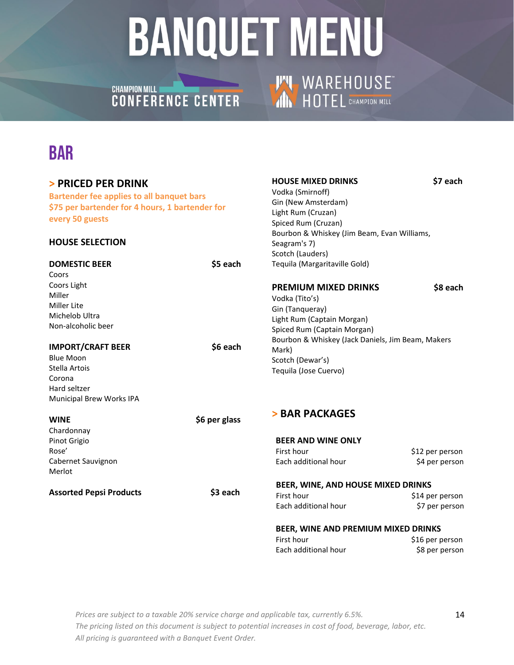**THE WAREHOUSE** 

## CHAMPION MILL **CHAMPION MILL**

## BAR

| > PRICED PER DRINK<br><b>Bartender fee applies to all banquet bars</b><br>\$75 per bartender for 4 hours, 1 bartender for<br>every 50 guests<br><b>HOUSE SELECTION</b> |               | <b>HOUSE MIXED DRINKS</b><br>Vodka (Smirnoff)<br>Gin (New Amsterdam)<br>Light Rum (Cruzan)<br>Spiced Rum (Cruzan)<br>Bourbon & Whiskey (Jim Beam, Evan Williams,<br>Seagram's 7)<br>Scotch (Lauders) | \$7 each                          |
|------------------------------------------------------------------------------------------------------------------------------------------------------------------------|---------------|------------------------------------------------------------------------------------------------------------------------------------------------------------------------------------------------------|-----------------------------------|
| <b>DOMESTIC BEER</b>                                                                                                                                                   | \$5 each      | Tequila (Margaritaville Gold)                                                                                                                                                                        |                                   |
| Coors                                                                                                                                                                  |               |                                                                                                                                                                                                      |                                   |
| Coors Light                                                                                                                                                            |               | <b>PREMIUM MIXED DRINKS</b>                                                                                                                                                                          | \$8 each                          |
| Miller                                                                                                                                                                 |               | Vodka (Tito's)                                                                                                                                                                                       |                                   |
| Miller Lite                                                                                                                                                            |               | Gin (Tanqueray)                                                                                                                                                                                      |                                   |
| Michelob Ultra<br>Non-alcoholic beer                                                                                                                                   |               | Light Rum (Captain Morgan)                                                                                                                                                                           |                                   |
|                                                                                                                                                                        |               | Spiced Rum (Captain Morgan)                                                                                                                                                                          |                                   |
| <b>IMPORT/CRAFT BEER</b>                                                                                                                                               | \$6 each      | Bourbon & Whiskey (Jack Daniels, Jim Beam, Makers                                                                                                                                                    |                                   |
| <b>Blue Moon</b>                                                                                                                                                       |               | Mark)                                                                                                                                                                                                |                                   |
| Stella Artois                                                                                                                                                          |               | Scotch (Dewar's)                                                                                                                                                                                     |                                   |
| Corona                                                                                                                                                                 |               | Tequila (Jose Cuervo)                                                                                                                                                                                |                                   |
| Hard seltzer                                                                                                                                                           |               |                                                                                                                                                                                                      |                                   |
| Municipal Brew Works IPA                                                                                                                                               |               |                                                                                                                                                                                                      |                                   |
|                                                                                                                                                                        |               | > BAR PACKAGES                                                                                                                                                                                       |                                   |
| <b>WINE</b>                                                                                                                                                            | \$6 per glass |                                                                                                                                                                                                      |                                   |
| Chardonnay                                                                                                                                                             |               |                                                                                                                                                                                                      |                                   |
| Pinot Grigio                                                                                                                                                           |               | <b>BEER AND WINE ONLY</b>                                                                                                                                                                            |                                   |
| Rose'                                                                                                                                                                  |               | First hour                                                                                                                                                                                           | \$12 per person                   |
| Cabernet Sauvignon                                                                                                                                                     |               | Each additional hour                                                                                                                                                                                 | \$4 per person                    |
| Merlot                                                                                                                                                                 |               |                                                                                                                                                                                                      |                                   |
|                                                                                                                                                                        |               | BEER, WINE, AND HOUSE MIXED DRINKS                                                                                                                                                                   |                                   |
| <b>Assorted Pepsi Products</b>                                                                                                                                         | \$3 each      | First hour                                                                                                                                                                                           | \$14 per person                   |
|                                                                                                                                                                        |               | Each additional hour                                                                                                                                                                                 | \$7 per person                    |
|                                                                                                                                                                        |               | BEER, WINE AND PREMIUM MIXED DRINKS                                                                                                                                                                  |                                   |
|                                                                                                                                                                        |               | First hour                                                                                                                                                                                           |                                   |
|                                                                                                                                                                        |               | Each additional hour                                                                                                                                                                                 | \$16 per person<br>\$8 per person |
|                                                                                                                                                                        |               |                                                                                                                                                                                                      |                                   |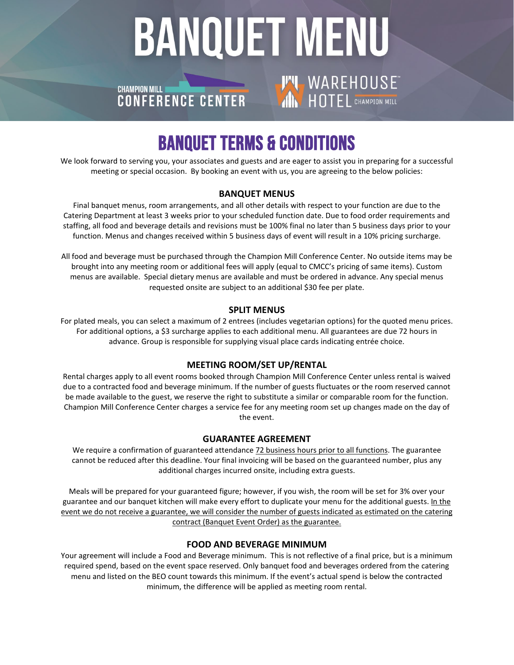## **BANQUET MENU THE WAREHOUSE CHAMPION MILL** CHAMPION MILL **CONTER**

## BANQUET TERMS & CONDITIONS

We look forward to serving you, your associates and guests and are eager to assist you in preparing for a successful meeting or special occasion. By booking an event with us, you are agreeing to the below policies:

#### **BANQUET MENUS**

Final banquet menus, room arrangements, and all other details with respect to your function are due to the Catering Department at least 3 weeks prior to your scheduled function date. Due to food order requirements and staffing, all food and beverage details and revisions must be 100% final no later than 5 business days prior to your function. Menus and changes received within 5 business days of event will result in a 10% pricing surcharge.

All food and beverage must be purchased through the Champion Mill Conference Center. No outside items may be brought into any meeting room or additional fees will apply (equal to CMCC's pricing of same items). Custom menus are available. Special dietary menus are available and must be ordered in advance. Any special menus requested onsite are subject to an additional \$30 fee per plate.

#### **SPLIT MENUS**

For plated meals, you can select a maximum of 2 entrees (includes vegetarian options) for the quoted menu prices. For additional options, a \$3 surcharge applies to each additional menu. All guarantees are due 72 hours in advance. Group is responsible for supplying visual place cards indicating entrée choice.

#### **MEETING ROOM/SET UP/RENTAL**

Rental charges apply to all event rooms booked through Champion Mill Conference Center unless rental is waived due to a contracted food and beverage minimum. If the number of guests fluctuates or the room reserved cannot be made available to the guest, we reserve the right to substitute a similar or comparable room for the function. Champion Mill Conference Center charges a service fee for any meeting room set up changes made on the day of the event.

#### **GUARANTEE AGREEMENT**

We require a confirmation of guaranteed attendance 72 business hours prior to all functions. The guarantee cannot be reduced after this deadline. Your final invoicing will be based on the guaranteed number, plus any additional charges incurred onsite, including extra guests.

Meals will be prepared for your guaranteed figure; however, if you wish, the room will be set for 3% over your guarantee and our banquet kitchen will make every effort to duplicate your menu for the additional guests. In the event we do not receive a guarantee, we will consider the number of guests indicated as estimated on the catering contract (Banquet Event Order) as the guarantee.

#### **FOOD AND BEVERAGE MINIMUM**

Your agreement will include a Food and Beverage minimum. This is not reflective of a final price, but is a minimum required spend, based on the event space reserved. Only banquet food and beverages ordered from the catering menu and listed on the BEO count towards this minimum. If the event's actual spend is below the contracted minimum, the difference will be applied as meeting room rental.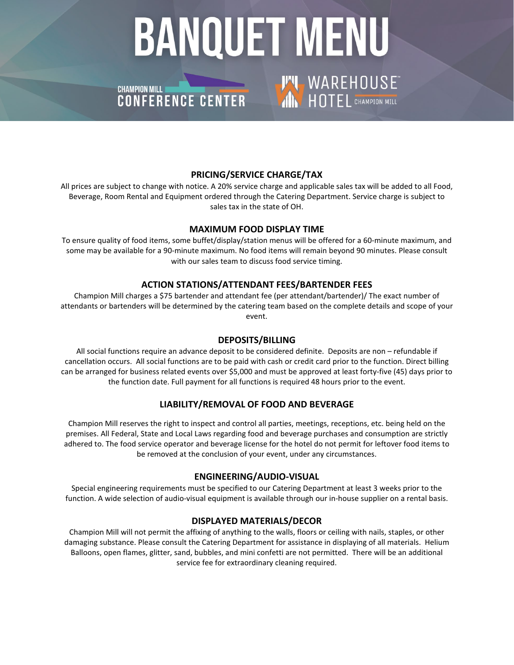# **BANQUET MENU THE WAREHOUSE**

### **CHAMPION MILL I** CHAMPION MILL<br>CONFERENCE CENTER

#### **PRICING/SERVICE CHARGE/TAX**

All prices are subject to change with notice. A 20% service charge and applicable sales tax will be added to all Food, Beverage, Room Rental and Equipment ordered through the Catering Department. Service charge is subject to sales tax in the state of OH.

#### **MAXIMUM FOOD DISPLAY TIME**

To ensure quality of food items, some buffet/display/station menus will be offered for a 60-minute maximum, and some may be available for a 90-minute maximum. No food items will remain beyond 90 minutes. Please consult with our sales team to discuss food service timing.

#### **ACTION STATIONS/ATTENDANT FEES/BARTENDER FEES**

Champion Mill charges a \$75 bartender and attendant fee (per attendant/bartender)/ The exact number of attendants or bartenders will be determined by the catering team based on the complete details and scope of your event.

#### **DEPOSITS/BILLING**

All social functions require an advance deposit to be considered definite. Deposits are non – refundable if cancellation occurs. All social functions are to be paid with cash or credit card prior to the function. Direct billing can be arranged for business related events over \$5,000 and must be approved at least forty-five (45) days prior to the function date. Full payment for all functions is required 48 hours prior to the event.

#### **LIABILITY/REMOVAL OF FOOD AND BEVERAGE**

Champion Mill reserves the right to inspect and control all parties, meetings, receptions, etc. being held on the premises. All Federal, State and Local Laws regarding food and beverage purchases and consumption are strictly adhered to. The food service operator and beverage license for the hotel do not permit for leftover food items to be removed at the conclusion of your event, under any circumstances.

#### **ENGINEERING/AUDIO-VISUAL**

Special engineering requirements must be specified to our Catering Department at least 3 weeks prior to the function. A wide selection of audio-visual equipment is available through our in-house supplier on a rental basis.

#### **DISPLAYED MATERIALS/DECOR**

Champion Mill will not permit the affixing of anything to the walls, floors or ceiling with nails, staples, or other damaging substance. Please consult the Catering Department for assistance in displaying of all materials. Helium Balloons, open flames, glitter, sand, bubbles, and mini confetti are not permitted. There will be an additional service fee for extraordinary cleaning required.